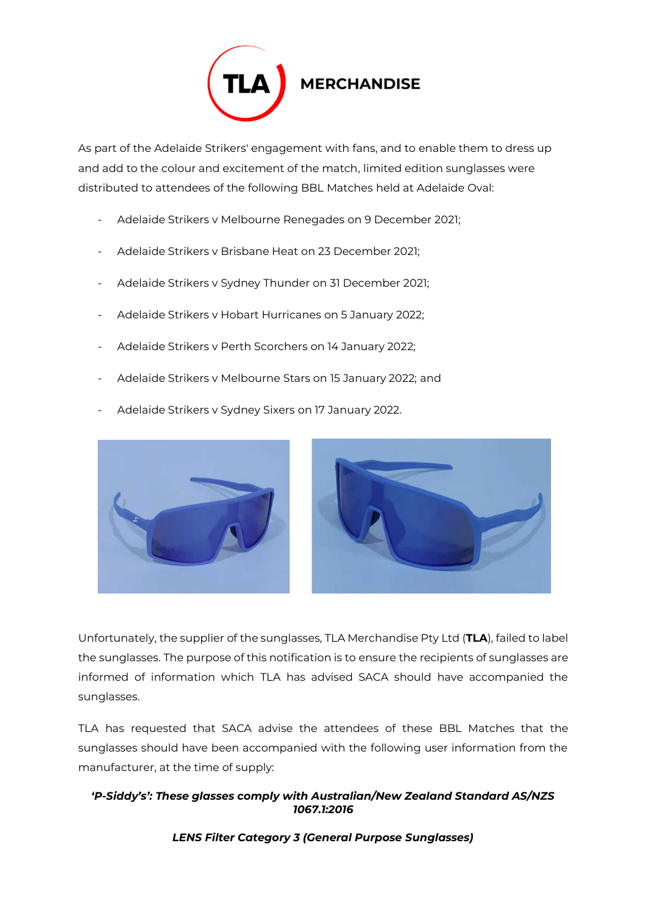

As part of the Adelaide Strikers' engagement with fans, and to enable them to dress up and add to the colour and excitement of the match, limited edition sunglasses were distributed to attendees of the following BBL Matches held at Adelaide Oval:

- Adelaide Strikers v Melbourne Renegades on 9 December 2021;
- Adelaide Strikers v Brisbane Heat on 23 December 2021;
- Adelaide Strikers v Sydney Thunder on 31 December 2021;
- Adelaide Strikers v Hobart Hurricanes on 5 January 2022;
- Adelaide Strikers v Perth Scorchers on 14 January 2022;
- Adelaide Strikers v Melbourne Stars on 15 January 2022; and
- Adelaide Strikers v Sydney Sixers on 17 January 2022.



Unfortunately, the supplier of the sunglasses, TLA Merchandise Pty Ltd (**TLA**), failed to label the sunglasses. The purpose of this notification is to ensure the recipients of sunglasses are informed of information which TLA has advised SACA should have accompanied the sunglasses.

TLA has requested that SACA advise the attendees of these BBL Matches that the sunglasses should have been accompanied with the following user information from the manufacturer, at the time of supply:

## *'P-Siddy's': These glasses comply with Australian/New Zealand Standard AS/NZS 1067.1:2016*

*LENS Filter Category 3 (General Purpose Sunglasses)*